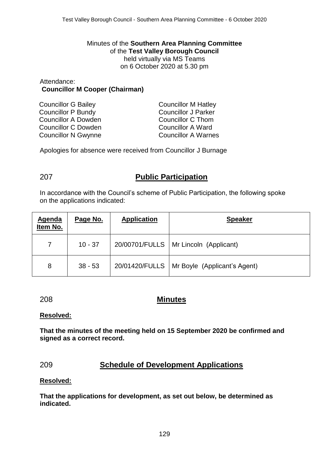Minutes of the **Southern Area Planning Committee** of the **Test Valley Borough Council** held virtually via MS Teams on 6 October 2020 at 5.30 pm

#### Attendance: **Councillor M Cooper (Chairman)**

| <b>Councillor G Bailey</b> | <b>Councillor M Hatley</b> |
|----------------------------|----------------------------|
| <b>Councillor P Bundy</b>  | <b>Councillor J Parker</b> |
| Councillor A Dowden        | <b>Councillor C Thom</b>   |
| Councillor C Dowden        | <b>Councillor A Ward</b>   |
| <b>Councillor N Gwynne</b> | <b>Councillor A Warnes</b> |
|                            |                            |

Apologies for absence were received from Councillor J Burnage

# 207 **Public Participation**

In accordance with the Council's scheme of Public Participation, the following spoke on the applications indicated:

| <b>Agenda</b><br>Item No. | Page No.  | <b>Application</b> | <b>Speaker</b>               |
|---------------------------|-----------|--------------------|------------------------------|
|                           | $10 - 37$ | 20/00701/FULLS     | Mr Lincoln (Applicant)       |
| 8                         | $38 - 53$ | 20/01420/FULLS     | Mr Boyle (Applicant's Agent) |

# 208 **Minutes**

## **Resolved:**

**That the minutes of the meeting held on 15 September 2020 be confirmed and signed as a correct record.**

# 209 **Schedule of Development Applications**

## **Resolved:**

**That the applications for development, as set out below, be determined as indicated.**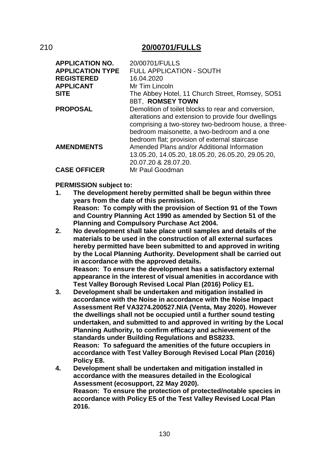## 210 **20/00701/FULLS**

| <b>APPLICATION NO.</b><br><b>APPLICATION TYPE</b><br><b>REGISTERED</b><br><b>APPLICANT</b> | 20/00701/FULLS<br><b>FULL APPLICATION - SOUTH</b><br>16.04.2020<br>Mr Tim Lincoln                                                                                                                                                                                 |
|--------------------------------------------------------------------------------------------|-------------------------------------------------------------------------------------------------------------------------------------------------------------------------------------------------------------------------------------------------------------------|
| <b>SITE</b>                                                                                | The Abbey Hotel, 11 Church Street, Romsey, SO51                                                                                                                                                                                                                   |
|                                                                                            | 8BT, ROMSEY TOWN                                                                                                                                                                                                                                                  |
| <b>PROPOSAL</b>                                                                            | Demolition of toilet blocks to rear and conversion,<br>alterations and extension to provide four dwellings<br>comprising a two-storey two-bedroom house, a three-<br>bedroom maisonette, a two-bedroom and a one<br>bedroom flat; provision of external staircase |
| <b>AMENDMENTS</b>                                                                          | Amended Plans and/or Additional Information<br>13.05.20, 14.05.20, 18.05.20, 26.05.20, 29.05.20,<br>20.07.20 & 28.07.20.                                                                                                                                          |
| <b>CASE OFFICER</b>                                                                        | Mr Paul Goodman                                                                                                                                                                                                                                                   |

#### **PERMISSION subject to:**

- **1. The development hereby permitted shall be begun within three years from the date of this permission. Reason: To comply with the provision of Section 91 of the Town and Country Planning Act 1990 as amended by Section 51 of the Planning and Compulsory Purchase Act 2004.**
- **2. No development shall take place until samples and details of the materials to be used in the construction of all external surfaces hereby permitted have been submitted to and approved in writing by the Local Planning Authority. Development shall be carried out in accordance with the approved details. Reason: To ensure the development has a satisfactory external**

**appearance in the interest of visual amenities in accordance with Test Valley Borough Revised Local Plan (2016) Policy E1.**

- **3. Development shall be undertaken and mitigation installed in accordance with the Noise in accordance with the Noise Impact Assessment Ref VA3274.200527.NIA (Venta, May 2020). However the dwellings shall not be occupied until a further sound testing undertaken, and submitted to and approved in writing by the Local Planning Authority, to confirm efficacy and achievement of the standards under Building Regulations and BS8233. Reason: To safeguard the amenities of the future occupiers in accordance with Test Valley Borough Revised Local Plan (2016) Policy E8.**
- **4. Development shall be undertaken and mitigation installed in accordance with the measures detailed in the Ecological Assessment (ecosupport, 22 May 2020). Reason: To ensure the protection of protected/notable species in accordance with Policy E5 of the Test Valley Revised Local Plan 2016.**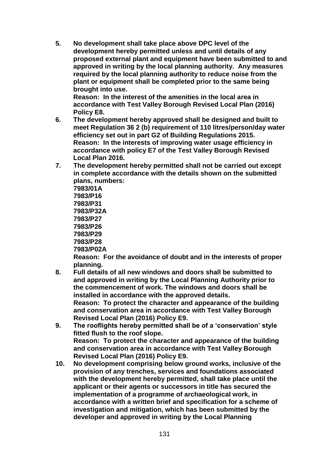**5. No development shall take place above DPC level of the development hereby permitted unless and until details of any proposed external plant and equipment have been submitted to and approved in writing by the local planning authority. Any measures required by the local planning authority to reduce noise from the plant or equipment shall be completed prior to the same being brought into use.**

**Reason: In the interest of the amenities in the local area in accordance with Test Valley Borough Revised Local Plan (2016) Policy E8.**

- **6. The development hereby approved shall be designed and built to meet Regulation 36 2 (b) requirement of 110 litres/person/day water efficiency set out in part G2 of Building Regulations 2015. Reason: In the interests of improving water usage efficiency in accordance with policy E7 of the Test Valley Borough Revised Local Plan 2016.**
- **7. The development hereby permitted shall not be carried out except in complete accordance with the details shown on the submitted plans, numbers:**

**7983/01A 7983/P16 7983/P31 7983/P32A 7983/P27 7983/P26 7983/P29 7983/P28 7983/P02A**

**Reason: For the avoidance of doubt and in the interests of proper planning.**

- **8. Full details of all new windows and doors shall be submitted to and approved in writing by the Local Planning Authority prior to the commencement of work. The windows and doors shall be installed in accordance with the approved details. Reason: To protect the character and appearance of the building and conservation area in accordance with Test Valley Borough Revised Local Plan (2016) Policy E9.**
- **9. The rooflights hereby permitted shall be of a 'conservation' style fitted flush to the roof slope. Reason: To protect the character and appearance of the building and conservation area in accordance with Test Valley Borough Revised Local Plan (2016) Policy E9.**
- **10. No development comprising below ground works, inclusive of the provision of any trenches, services and foundations associated with the development hereby permitted, shall take place until the applicant or their agents or successors in title has secured the implementation of a programme of archaeological work, in accordance with a written brief and specification for a scheme of investigation and mitigation, which has been submitted by the developer and approved in writing by the Local Planning**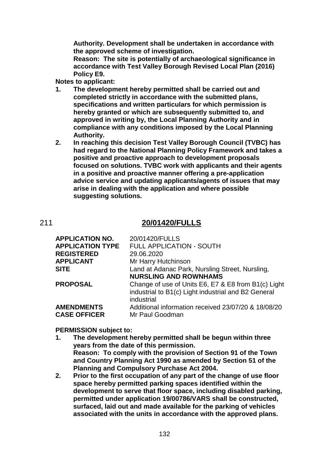**Authority. Development shall be undertaken in accordance with the approved scheme of investigation.** 

**Reason: The site is potentially of archaeological significance in accordance with Test Valley Borough Revised Local Plan (2016) Policy E9.**

**Notes to applicant:**

- **1. The development hereby permitted shall be carried out and completed strictly in accordance with the submitted plans, specifications and written particulars for which permission is hereby granted or which are subsequently submitted to, and approved in writing by, the Local Planning Authority and in compliance with any conditions imposed by the Local Planning Authority.**
- **2. In reaching this decision Test Valley Borough Council (TVBC) has had regard to the National Planning Policy Framework and takes a positive and proactive approach to development proposals focused on solutions. TVBC work with applicants and their agents in a positive and proactive manner offering a pre-application advice service and updating applicants/agents of issues that may arise in dealing with the application and where possible suggesting solutions.**

## 211 **20/01420/FULLS**

| <b>APPLICATION NO.</b>                   | 20/01420/FULLS                                                                                                           |
|------------------------------------------|--------------------------------------------------------------------------------------------------------------------------|
| <b>APPLICATION TYPE</b>                  | <b>FULL APPLICATION - SOUTH</b>                                                                                          |
| <b>REGISTERED</b>                        | 29.06.2020                                                                                                               |
| <b>APPLICANT</b>                         | Mr Harry Hutchinson                                                                                                      |
| <b>SITE</b>                              | Land at Adanac Park, Nursling Street, Nursling,                                                                          |
|                                          | <b>NURSLING AND ROWNHAMS</b>                                                                                             |
| <b>PROPOSAL</b>                          | Change of use of Units E6, E7 & E8 from B1(c) Light<br>industrial to B1(c) Light industrial and B2 General<br>industrial |
| <b>AMENDMENTS</b><br><b>CASE OFFICER</b> | Additional information received 23/07/20 & 18/08/20<br>Mr Paul Goodman                                                   |
|                                          |                                                                                                                          |

#### **PERMISSION subject to:**

- **1. The development hereby permitted shall be begun within three years from the date of this permission. Reason: To comply with the provision of Section 91 of the Town and Country Planning Act 1990 as amended by Section 51 of the Planning and Compulsory Purchase Act 2004.**
- **2. Prior to the first occupation of any part of the change of use floor space hereby permitted parking spaces identified within the development to serve that floor space, including disabled parking, permitted under application 19/00786/VARS shall be constructed, surfaced, laid out and made available for the parking of vehicles associated with the units in accordance with the approved plans.**